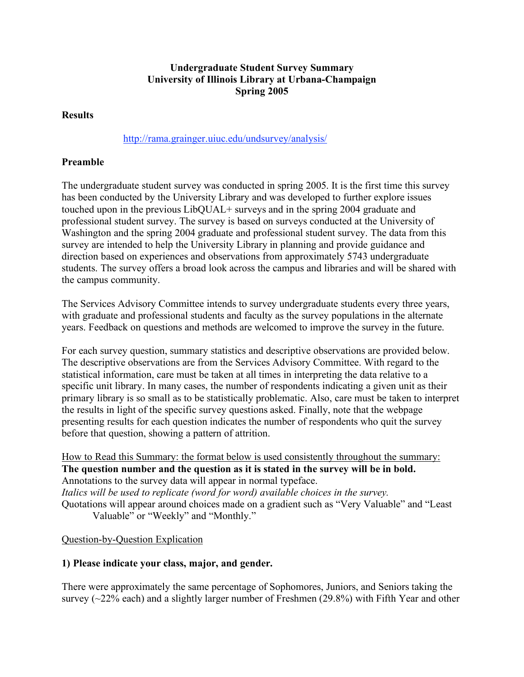### **Undergraduate Student Survey Summary University of Illinois Library at Urbana-Champaign Spring 2005**

#### **Results**

#### http://rama.grainger.uiuc.edu/undsurvey/analysis/

## **Preamble**

The undergraduate student survey was conducted in spring 2005. It is the first time this survey has been conducted by the University Library and was developed to further explore issues touched upon in the previous LibQUAL+ surveys and in the spring 2004 graduate and professional student survey. The survey is based on surveys conducted at the University of Washington and the spring 2004 graduate and professional student survey. The data from this survey are intended to help the University Library in planning and provide guidance and direction based on experiences and observations from approximately 5743 undergraduate students. The survey offers a broad look across the campus and libraries and will be shared with the campus community.

The Services Advisory Committee intends to survey undergraduate students every three years, with graduate and professional students and faculty as the survey populations in the alternate years. Feedback on questions and methods are welcomed to improve the survey in the future.

For each survey question, summary statistics and descriptive observations are provided below. The descriptive observations are from the Services Advisory Committee. With regard to the statistical information, care must be taken at all times in interpreting the data relative to a specific unit library. In many cases, the number of respondents indicating a given unit as their primary library is so small as to be statistically problematic. Also, care must be taken to interpret the results in light of the specific survey questions asked. Finally, note that the webpage presenting results for each question indicates the number of respondents who quit the survey before that question, showing a pattern of attrition.

How to Read this Summary: the format below is used consistently throughout the summary: **The question number and the question as it is stated in the survey will be in bold.** Annotations to the survey data will appear in normal typeface. *Italics will be used to replicate (word for word) available choices in the survey.* Quotations will appear around choices made on a gradient such as "Very Valuable" and "Least

Valuable" or "Weekly" and "Monthly."

### Question-by-Question Explication

### **1) Please indicate your class, major, and gender.**

There were approximately the same percentage of Sophomores, Juniors, and Seniors taking the survey (~22% each) and a slightly larger number of Freshmen (29.8%) with Fifth Year and other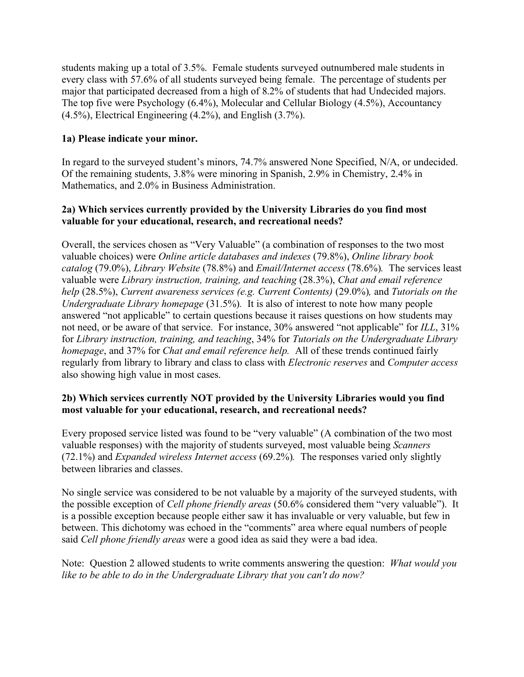students making up a total of 3.5%. Female students surveyed outnumbered male students in every class with 57.6% of all students surveyed being female. The percentage of students per major that participated decreased from a high of 8.2% of students that had Undecided majors. The top five were Psychology (6.4%), Molecular and Cellular Biology (4.5%), Accountancy (4.5%), Electrical Engineering (4.2%), and English (3.7%).

#### **1a) Please indicate your minor.**

In regard to the surveyed student's minors, 74.7% answered None Specified, N/A, or undecided. Of the remaining students, 3.8% were minoring in Spanish, 2.9% in Chemistry, 2.4% in Mathematics, and 2.0% in Business Administration.

#### **2a) Which services currently provided by the University Libraries do you find most valuable for your educational, research, and recreational needs?**

Overall, the services chosen as "Very Valuable" (a combination of responses to the two most valuable choices) were *Online article databases and indexes* (79.8%), *Online library book catalog* (79.0%), *Library Website* (78.8%) and *Email/Internet access* (78.6%)*.* The services least valuable were *Library instruction, training, and teaching* (28.3%), *Chat and email reference help* (28.5%), *Current awareness services (e.g. Current Contents)* (29.0%)*,* and *Tutorials on the Undergraduate Library homepage* (31.5%)*.* It is also of interest to note how many people answered "not applicable" to certain questions because it raises questions on how students may not need, or be aware of that service. For instance, 30% answered "not applicable" for *ILL*, 31% for *Library instruction, training, and teaching*, 34% for *Tutorials on the Undergraduate Library homepage*, and 37% for *Chat and email reference help.* All of these trends continued fairly regularly from library to library and class to class with *Electronic reserves* and *Computer access* also showing high value in most cases.

### **2b) Which services currently NOT provided by the University Libraries would you find most valuable for your educational, research, and recreational needs?**

Every proposed service listed was found to be "very valuable" (A combination of the two most valuable responses) with the majority of students surveyed, most valuable being *Scanners* (72.1%) and *Expanded wireless Internet access* (69.2%)*.* The responses varied only slightly between libraries and classes.

No single service was considered to be not valuable by a majority of the surveyed students, with the possible exception of *Cell phone friendly areas* (50.6% considered them "very valuable"). It is a possible exception because people either saw it has invaluable or very valuable, but few in between. This dichotomy was echoed in the "comments" area where equal numbers of people said *Cell phone friendly areas* were a good idea as said they were a bad idea.

Note: Question 2 allowed students to write comments answering the question: *What would you like to be able to do in the Undergraduate Library that you can't do now?*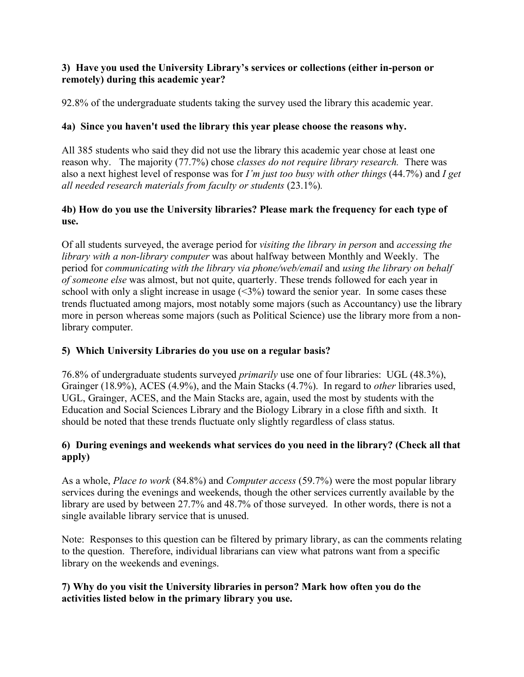## **3) Have you used the University Library's services or collections (either in-person or remotely) during this academic year?**

92.8% of the undergraduate students taking the survey used the library this academic year.

## **4a) Since you haven't used the library this year please choose the reasons why.**

All 385 students who said they did not use the library this academic year chose at least one reason why. The majority (77.7%) chose *classes do not require library research.* There was also a next highest level of response was for *I'm just too busy with other things* (44.7%) and *I get all needed research materials from faculty or students* (23.1%)*.*

## **4b) How do you use the University libraries? Please mark the frequency for each type of use.**

Of all students surveyed, the average period for *visiting the library in person* and *accessing the library with a non-library computer* was about halfway between Monthly and Weekly. The period for *communicating with the library via phone/web/email* and *using the library on behalf of someone else* was almost, but not quite, quarterly. These trends followed for each year in school with only a slight increase in usage  $(\leq 3\%)$  toward the senior year. In some cases these trends fluctuated among majors, most notably some majors (such as Accountancy) use the library more in person whereas some majors (such as Political Science) use the library more from a nonlibrary computer.

# **5) Which University Libraries do you use on a regular basis?**

76.8% of undergraduate students surveyed *primarily* use one of four libraries: UGL (48.3%), Grainger (18.9%), ACES (4.9%), and the Main Stacks (4.7%). In regard to *other* libraries used, UGL, Grainger, ACES, and the Main Stacks are, again, used the most by students with the Education and Social Sciences Library and the Biology Library in a close fifth and sixth. It should be noted that these trends fluctuate only slightly regardless of class status.

# **6) During evenings and weekends what services do you need in the library? (Check all that apply)**

As a whole, *Place to work* (84.8%) and *Computer access* (59.7%) were the most popular library services during the evenings and weekends, though the other services currently available by the library are used by between 27.7% and 48.7% of those surveyed. In other words, there is not a single available library service that is unused.

Note: Responses to this question can be filtered by primary library, as can the comments relating to the question. Therefore, individual librarians can view what patrons want from a specific library on the weekends and evenings.

# **7) Why do you visit the University libraries in person? Mark how often you do the activities listed below in the primary library you use.**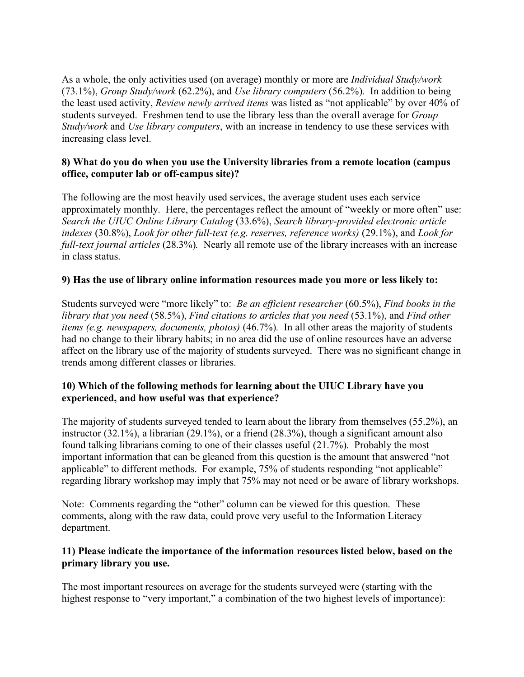As a whole, the only activities used (on average) monthly or more are *Individual Study/work* (73.1%), *Group Study/work* (62.2%), and *Use library computers* (56.2%)*.* In addition to being the least used activity, *Review newly arrived items* was listed as "not applicable" by over 40% of students surveyed. Freshmen tend to use the library less than the overall average for *Group Study/work* and *Use library computers*, with an increase in tendency to use these services with increasing class level.

#### **8) What do you do when you use the University libraries from a remote location (campus office, computer lab or off-campus site)?**

The following are the most heavily used services, the average student uses each service approximately monthly. Here, the percentages reflect the amount of "weekly or more often" use: *Search the UIUC Online Library Catalog* (33.6%), *Search library-provided electronic article indexes* (30.8%), *Look for other full-text (e.g. reserves, reference works)* (29.1%), and *Look for full-text journal articles* (28.3%)*.* Nearly all remote use of the library increases with an increase in class status.

### **9) Has the use of library online information resources made you more or less likely to:**

Students surveyed were "more likely" to: *Be an efficient researcher* (60.5%), *Find books in the library that you need* (58.5%), *Find citations to articles that you need* (53.1%), and *Find other items (e.g. newspapers, documents, photos)* (46.7%)*.* In all other areas the majority of students had no change to their library habits; in no area did the use of online resources have an adverse affect on the library use of the majority of students surveyed. There was no significant change in trends among different classes or libraries.

### **10) Which of the following methods for learning about the UIUC Library have you experienced, and how useful was that experience?**

The majority of students surveyed tended to learn about the library from themselves (55.2%), an instructor (32.1%), a librarian (29.1%), or a friend (28.3%), though a significant amount also found talking librarians coming to one of their classes useful (21.7%). Probably the most important information that can be gleaned from this question is the amount that answered "not applicable" to different methods. For example, 75% of students responding "not applicable" regarding library workshop may imply that 75% may not need or be aware of library workshops.

Note: Comments regarding the "other" column can be viewed for this question. These comments, along with the raw data, could prove very useful to the Information Literacy department.

#### **11) Please indicate the importance of the information resources listed below, based on the primary library you use.**

The most important resources on average for the students surveyed were (starting with the highest response to "very important," a combination of the two highest levels of importance):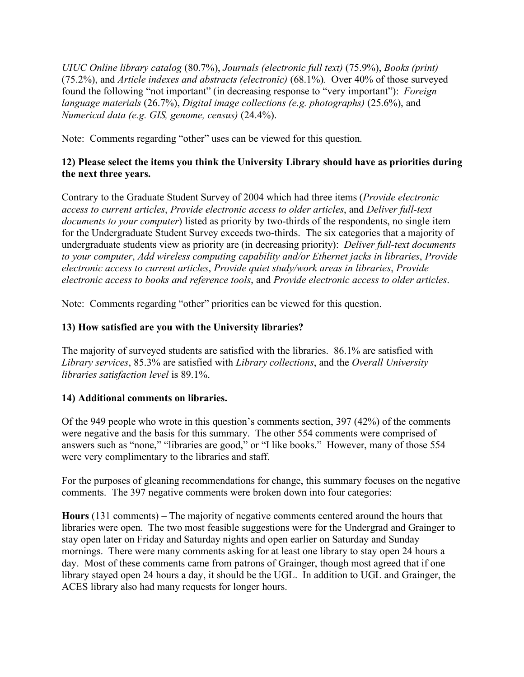*UIUC Online library catalog* (80.7%), *Journals (electronic full text)* (75.9%), *Books (print)* (75.2%), and *Article indexes and abstracts (electronic)* (68.1%)*.* Over 40% of those surveyed found the following "not important" (in decreasing response to "very important"): *Foreign language materials* (26.7%), *Digital image collections (e.g. photographs)* (25.6%), and *Numerical data (e.g. GIS, genome, census)* (24.4%).

Note: Comments regarding "other" uses can be viewed for this question.

## **12) Please select the items you think the University Library should have as priorities during the next three years.**

Contrary to the Graduate Student Survey of 2004 which had three items (*Provide electronic access to current articles*, *Provide electronic access to older articles*, and *Deliver full-text documents to your computer*) listed as priority by two-thirds of the respondents, no single item for the Undergraduate Student Survey exceeds two-thirds. The six categories that a majority of undergraduate students view as priority are (in decreasing priority): *Deliver full-text documents to your computer*, *Add wireless computing capability and/or Ethernet jacks in libraries*, *Provide electronic access to current articles*, *Provide quiet study/work areas in libraries*, *Provide electronic access to books and reference tools*, and *Provide electronic access to older articles*.

Note: Comments regarding "other" priorities can be viewed for this question.

# **13) How satisfied are you with the University libraries?**

The majority of surveyed students are satisfied with the libraries. 86.1% are satisfied with *Library services*, 85.3% are satisfied with *Library collections*, and the *Overall University libraries satisfaction level* is 89.1%.

# **14) Additional comments on libraries.**

Of the 949 people who wrote in this question's comments section, 397 (42%) of the comments were negative and the basis for this summary. The other 554 comments were comprised of answers such as "none," "libraries are good," or "I like books." However, many of those 554 were very complimentary to the libraries and staff.

For the purposes of gleaning recommendations for change, this summary focuses on the negative comments. The 397 negative comments were broken down into four categories:

**Hours** (131 comments) – The majority of negative comments centered around the hours that libraries were open. The two most feasible suggestions were for the Undergrad and Grainger to stay open later on Friday and Saturday nights and open earlier on Saturday and Sunday mornings. There were many comments asking for at least one library to stay open 24 hours a day. Most of these comments came from patrons of Grainger, though most agreed that if one library stayed open 24 hours a day, it should be the UGL. In addition to UGL and Grainger, the ACES library also had many requests for longer hours.